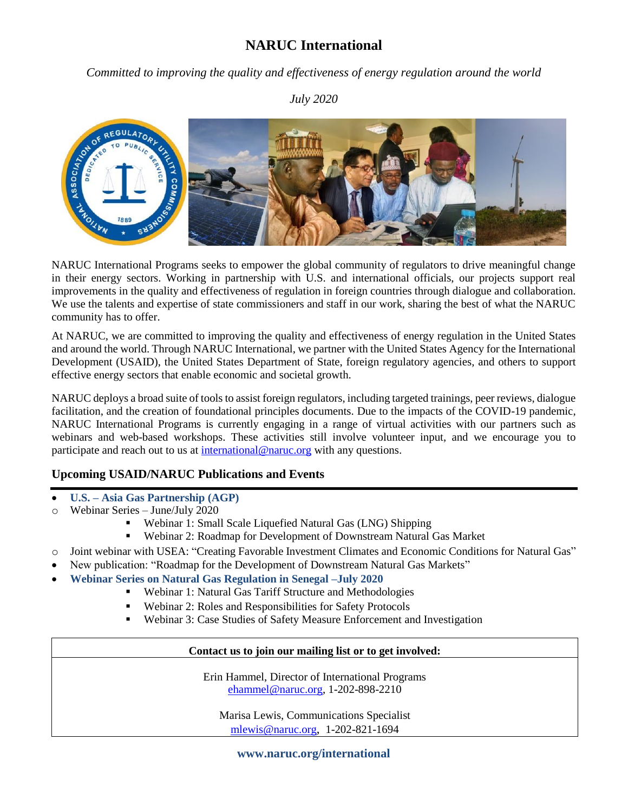# **NARUC International**

*Committed to improving the quality and effectiveness of energy regulation around the world*

### *July 2020*



NARUC International Programs seeks to empower the global community of regulators to drive meaningful change in their energy sectors. Working in partnership with U.S. and international officials, our projects support real improvements in the quality and effectiveness of regulation in foreign countries through dialogue and collaboration. We use the talents and expertise of state commissioners and staff in our work, sharing the best of what the NARUC community has to offer.

At NARUC, we are committed to improving the quality and effectiveness of energy regulation in the United States and around the world. Through NARUC International, we partner with the United States Agency for the International Development (USAID), the United States Department of State, foreign regulatory agencies, and others to support effective energy sectors that enable economic and societal growth.

NARUC deploys a broad suite of tools to assist foreign regulators, including targeted trainings, peer reviews, dialogue facilitation, and the creation of foundational principles documents. Due to the impacts of the COVID-19 pandemic, NARUC International Programs is currently engaging in a range of virtual activities with our partners such as webinars and web-based workshops. These activities still involve volunteer input, and we encourage you to participate and reach out to us at [international@naruc.org](mailto:international@naruc.org) with any questions.

### **Upcoming USAID/NARUC Publications and Events**

- **U.S. – Asia Gas Partnership (AGP)**
- o Webinar Series June/July 2020
	- Webinar 1: Small Scale Liquefied Natural Gas (LNG) Shipping
	- Webinar 2: Roadmap for Development of Downstream Natural Gas Market
- o Joint webinar with USEA: "Creating Favorable Investment Climates and Economic Conditions for Natural Gas"
- New publication: "Roadmap for the Development of Downstream Natural Gas Markets"
- **Webinar Series on Natural Gas Regulation in Senegal –July 2020**
	- Webinar 1: Natural Gas Tariff Structure and Methodologies
	- Webinar 2: Roles and Responsibilities for Safety Protocols
	- Webinar 3: Case Studies of Safety Measure Enforcement and Investigation

### **Contact us to join our mailing list or to get involved:**

Erin Hammel, Director of International Programs [ehammel@naruc.org,](mailto:ehammel@naruc.org) 1-202-898-2210

Marisa Lewis, Communications Specialist [mlewis@naruc.org](mailto:mlewis@naruc.org), 1-202-821-1694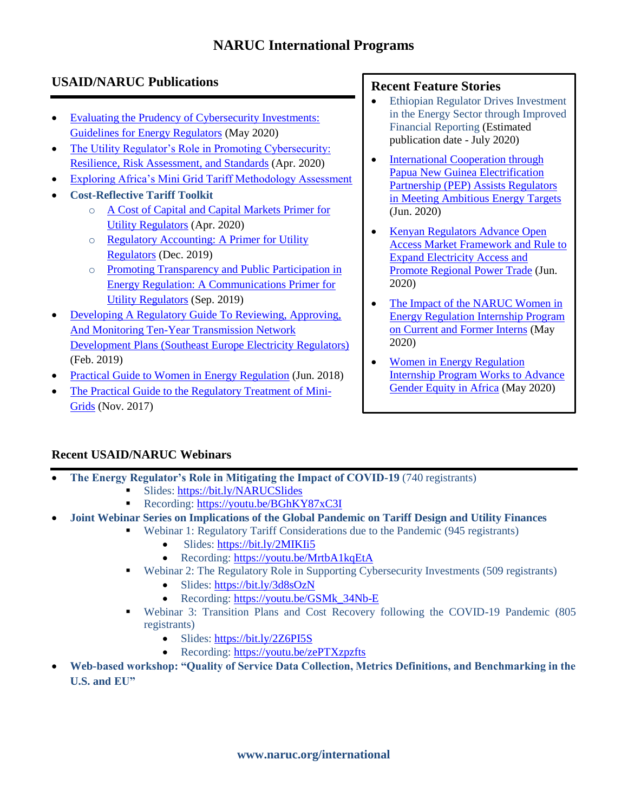# **NARUC International Programs**

# **USAID/NARUC Publications**

- Evaluating the Prudency of Cybersecurity Investments: [Guidelines for Energy Regulators](https://pubs.naruc.org/pub.cfm?id=9865ECB8-155D-0A36-311A-9FEFE6DBD077) (May 2020)
- The Utility Regulator's Role in Promoting Cybersecurity: [Resilience, Risk Assessment, and Standards](https://pubs.naruc.org/pub.cfm?id=C3597EE6-155D-0A36-31AC-3F82F33A665B) (Apr. 2020)
- [Exploring Africa's Mini Grid Tariff Methodology Assessment](https://pubs.naruc.org/pub.cfm?id=A1E7A0F1-155D-0A36-319F-8CBC8BE8B342)
- **Cost-Reflective Tariff Toolkit**
	- o [A Cost of Capital and Capital Markets Primer for](https://pubs.naruc.org/pub.cfm?id=CAD801A0-155D-0A36-316A-B9E8C935EE4D)  [Utility Regulators](https://pubs.naruc.org/pub.cfm?id=CAD801A0-155D-0A36-316A-B9E8C935EE4D) (Apr. 2020)
	- o [Regulatory Accounting: A Primer for Utility](https://pubs.naruc.org/pub.cfm?id=EE6402E5-155D-0A36-31F8-36FEBB6D4E44)  [Regulators](https://pubs.naruc.org/pub.cfm?id=EE6402E5-155D-0A36-31F8-36FEBB6D4E44) (Dec. 2019)
	- o [Promoting Transparency and Public Participation in](https://pubs.naruc.org/pub/F358864A-0EC2-9185-D0B5-5A6B9C13BEA6)  [Energy Regulation: A Communications Primer for](https://pubs.naruc.org/pub/F358864A-0EC2-9185-D0B5-5A6B9C13BEA6)  [Utility Regulators](https://pubs.naruc.org/pub/F358864A-0EC2-9185-D0B5-5A6B9C13BEA6) (Sep. 2019)
- [Developing A Regulatory Guide To Reviewing, Approving,](http://pubs.naruc.org/pub/6EC0F402-155D-0A36-31B3-9A007179AF00)  [And Monitoring Ten-Year Transmission Network](http://pubs.naruc.org/pub/6EC0F402-155D-0A36-31B3-9A007179AF00)  [Development Plans \(Southeast Europe Electricity Regulators\)](http://pubs.naruc.org/pub/6EC0F402-155D-0A36-31B3-9A007179AF00) (Feb. 2019)
- [Practical Guide to Women in Energy Regulation](https://pubs.naruc.org/pub/CAA05EA6-CDCE-3F80-DBF6-56F3A3C31C8F) (Jun. 2018)
- [The Practical Guide to the Regulatory Treatment of Mini-](https://pubs.naruc.org/pub/E1A6363A-A51D-0046-C341-DADE9EBAA6E3)**[Grids](https://pubs.naruc.org/pub/E1A6363A-A51D-0046-C341-DADE9EBAA6E3)** (Nov. 2017)

## **Recent Feature Stories**

- Ethiopian Regulator Drives Investment in the Energy Sector through Improved Financial Reporting (Estimated publication date - July 2020)
- International Cooperation through [Papua New Guinea Electrification](https://www.naruc.org/international/news/international-cooperation-through-papua-new-guinea-electrification-partnership-pep-assists-regulators-in-meeting-ambitious-energy-targets/)  [Partnership \(PEP\) Assists Regulators](https://www.naruc.org/international/news/international-cooperation-through-papua-new-guinea-electrification-partnership-pep-assists-regulators-in-meeting-ambitious-energy-targets/)  [in Meeting Ambitious Energy Targets](https://www.naruc.org/international/news/international-cooperation-through-papua-new-guinea-electrification-partnership-pep-assists-regulators-in-meeting-ambitious-energy-targets/) (Jun. 2020)
- Kenyan Regulators Advance Open [Access Market Framework and Rule to](https://www.naruc.org/international/news/kenyan-regulators-advance-open-access-market-framework-and-rule-to-expand-electricity-access-and-promote-regional-power-trade/)  [Expand Electricity Access and](https://www.naruc.org/international/news/kenyan-regulators-advance-open-access-market-framework-and-rule-to-expand-electricity-access-and-promote-regional-power-trade/)  [Promote Regional Power Trade](https://www.naruc.org/international/news/kenyan-regulators-advance-open-access-market-framework-and-rule-to-expand-electricity-access-and-promote-regional-power-trade/) (Jun. 2020)
- The Impact of the NARUC Women in [Energy Regulation Internship Program](https://www.naruc.org/international/news/the-impact-of-the-naruc-women-in-energy-regulation-internship-program-on-current-and-former-interns/)  [on Current and Former Interns](https://www.naruc.org/international/news/the-impact-of-the-naruc-women-in-energy-regulation-internship-program-on-current-and-former-interns/) (May 2020)
- Women in Energy Regulation [Internship Program Works](https://www.naruc.org/international/news/women-in-energy-regulation-internship-program-works-to-advance-gender-equity-in-africa/) to Advance [Gender Equity in Africa](https://www.naruc.org/international/news/women-in-energy-regulation-internship-program-works-to-advance-gender-equity-in-africa/) (May 2020)

## **Recent USAID/NARUC Webinars**

- **The Energy Regulator's Role in Mitigating the Impact of COVID-19** (740 registrants)
	- Slides:<https://bit.ly/NARUCSlides>
	- Recording:<https://youtu.be/BGhKY87xC3I>
- **Joint Webinar Series on Implications of the Global Pandemic on Tariff Design and Utility Finances**
	- Webinar 1: Regulatory Tariff Considerations due to the Pandemic (945 registrants)
		- Slides:<https://bit.ly/2MIKIi5>
		- Recording:<https://youtu.be/MrtbA1kqEtA>
		- Webinar 2: The Regulatory Role in Supporting Cybersecurity Investments (509 registrants)
			- Slides:<https://bit.ly/3d8sOzN>
			- Recording: https://youtu.be/GSMk 34Nb-E
		- Webinar 3: Transition Plans and Cost Recovery following the COVID-19 Pandemic (805 registrants)
			- Slides: <https://bit.ly/2Z6PI5S>
			- Recording: <https://youtu.be/zePTXzpzfts>
- **Web-based workshop: "Quality of Service Data Collection, Metrics Definitions, and Benchmarking in the U.S. and EU"**